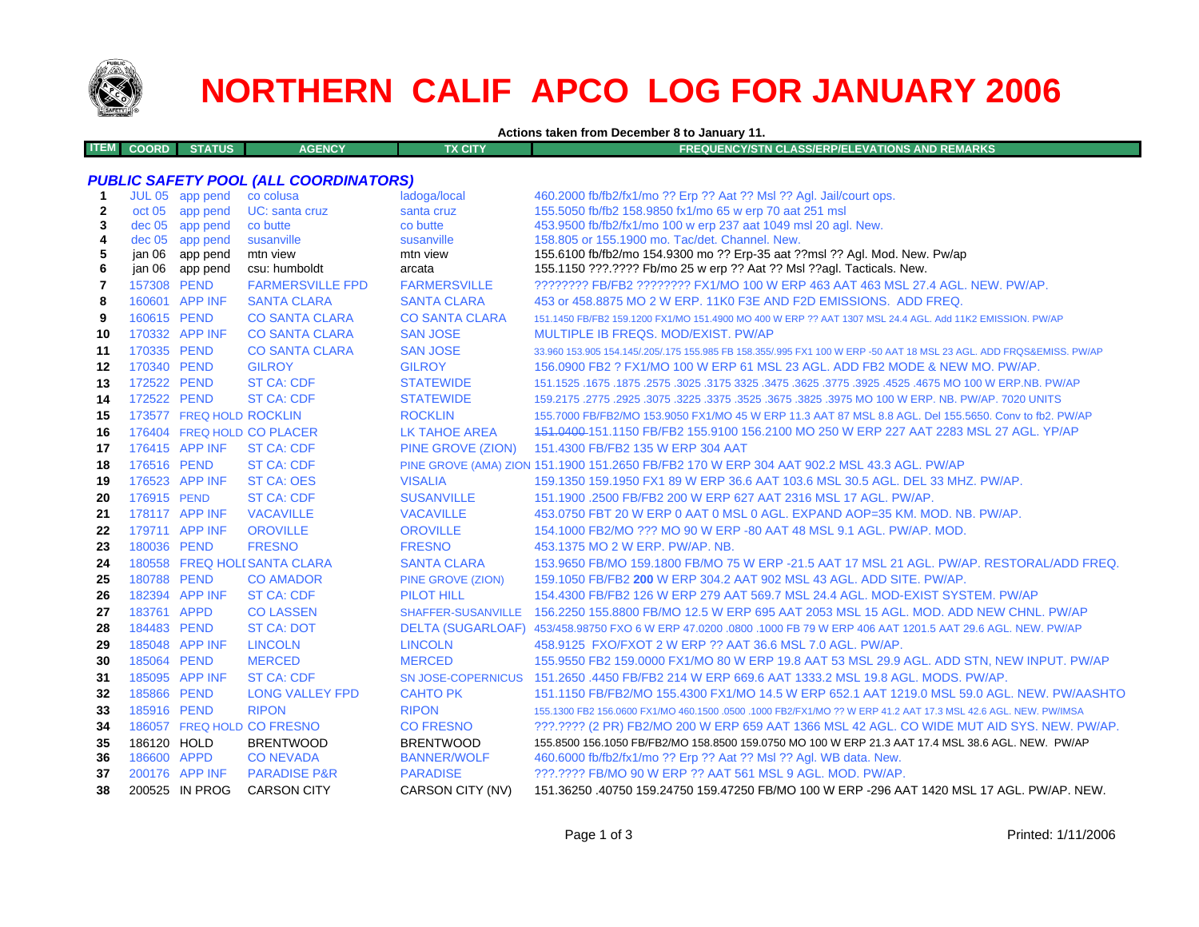

# **NORTHERN CALIF APCO LOG FOR JANUARY 2006**

**Actions taken from December 8 to January 11.**

| ITEM L<br><b>COORD</b> | <b>STATUS</b> | <b>AGENCY</b> | <b>FX CITY</b> | FREQUENCY/STN CLASS/ERP/ELEVATIONS AND REMARKS |
|------------------------|---------------|---------------|----------------|------------------------------------------------|
|                        |               |               |                |                                                |
|                        |               |               |                |                                                |

### *PUBLIC SAFETY POOL (ALL COORDINATORS)*

| oct 05 app pend |                                                                                                                                                                                                                                                                                                                                                                                                                                                                                                                                               |                                                                                                                                                                                                                                                                                                                                                                                       |                                                                                                                     |
|-----------------|-----------------------------------------------------------------------------------------------------------------------------------------------------------------------------------------------------------------------------------------------------------------------------------------------------------------------------------------------------------------------------------------------------------------------------------------------------------------------------------------------------------------------------------------------|---------------------------------------------------------------------------------------------------------------------------------------------------------------------------------------------------------------------------------------------------------------------------------------------------------------------------------------------------------------------------------------|---------------------------------------------------------------------------------------------------------------------|
|                 | UC: santa cruz                                                                                                                                                                                                                                                                                                                                                                                                                                                                                                                                | santa cruz                                                                                                                                                                                                                                                                                                                                                                            | 155.5050 fb/fb2 158.9850 fx1/mo 65 w erp 70 aat 251 msl                                                             |
|                 |                                                                                                                                                                                                                                                                                                                                                                                                                                                                                                                                               |                                                                                                                                                                                                                                                                                                                                                                                       | 453.9500 fb/fb2/fx1/mo 100 w erp 237 aat 1049 msl 20 agl. New.                                                      |
|                 |                                                                                                                                                                                                                                                                                                                                                                                                                                                                                                                                               |                                                                                                                                                                                                                                                                                                                                                                                       | 158.805 or 155.1900 mo. Tac/det. Channel. New.                                                                      |
|                 |                                                                                                                                                                                                                                                                                                                                                                                                                                                                                                                                               |                                                                                                                                                                                                                                                                                                                                                                                       | 155.6100 fb/fb2/mo 154.9300 mo ?? Erp-35 aat ??msl ?? Agl. Mod. New. Pw/ap                                          |
|                 |                                                                                                                                                                                                                                                                                                                                                                                                                                                                                                                                               |                                                                                                                                                                                                                                                                                                                                                                                       | 155.1150 ???.???? Fb/mo 25 w erp ?? Aat ?? Msl ??agl. Tacticals. New.                                               |
|                 |                                                                                                                                                                                                                                                                                                                                                                                                                                                                                                                                               |                                                                                                                                                                                                                                                                                                                                                                                       | ???????? FB/FB2 ??????? FX1/MO 100 W ERP 463 AAT 463 MSL 27.4 AGL. NEW. PW/AP.                                      |
|                 | <b>SANTA CLARA</b>                                                                                                                                                                                                                                                                                                                                                                                                                                                                                                                            |                                                                                                                                                                                                                                                                                                                                                                                       | 453 or 458,8875 MO 2 W ERP, 11K0 F3E AND F2D EMISSIONS. ADD FREQ.                                                   |
|                 | <b>CO SANTA CLARA</b>                                                                                                                                                                                                                                                                                                                                                                                                                                                                                                                         | <b>CO SANTA CLARA</b>                                                                                                                                                                                                                                                                                                                                                                 | 151.1450 FB/FB2 159.1200 FX1/MO 151.4900 MO 400 W ERP ?? AAT 1307 MSL 24.4 AGL. Add 11K2 EMISSION, PW/AP            |
|                 |                                                                                                                                                                                                                                                                                                                                                                                                                                                                                                                                               |                                                                                                                                                                                                                                                                                                                                                                                       | MULTIPLE IB FREQS. MOD/EXIST. PW/AP                                                                                 |
|                 | <b>CO SANTA CLARA</b>                                                                                                                                                                                                                                                                                                                                                                                                                                                                                                                         | <b>SAN JOSE</b>                                                                                                                                                                                                                                                                                                                                                                       | 33.960 153.905 154.145/.205/.175 155.985 FB 158.355/.995 FX1 100 W ERP -50 AAT 18 MSL 23 AGL. ADD FRQS&EMISS. PW/AP |
|                 | <b>GILROY</b>                                                                                                                                                                                                                                                                                                                                                                                                                                                                                                                                 | <b>GILROY</b>                                                                                                                                                                                                                                                                                                                                                                         | 156.0900 FB2 ? FX1/MO 100 W ERP 61 MSL 23 AGL. ADD FB2 MODE & NEW MO. PW/AP.                                        |
|                 | ST CA: CDF                                                                                                                                                                                                                                                                                                                                                                                                                                                                                                                                    | <b>STATEWIDE</b>                                                                                                                                                                                                                                                                                                                                                                      | 151.1525 .1675 .1875 .2575 .3025 .3175 .3625 .3775 .3625 .3775 .3925 .4675 MO 100 W ERP NB. PW/AP                   |
|                 | <b>ST CA: CDF</b>                                                                                                                                                                                                                                                                                                                                                                                                                                                                                                                             | <b>STATEWIDE</b>                                                                                                                                                                                                                                                                                                                                                                      | 159.2175 .2775 .2925 .3075 .3225 .3375 .3625 .3675 .3825 .3975 MO 100 W ERP. NB. PW/AP. 7020 UNITS                  |
|                 |                                                                                                                                                                                                                                                                                                                                                                                                                                                                                                                                               | <b>ROCKLIN</b>                                                                                                                                                                                                                                                                                                                                                                        | 155.7000 FB/FB2/MO 153.9050 FX1/MO 45 W ERP 11.3 AAT 87 MSL 8.8 AGL. Del 155.5650. Conv to fb2. PW/AP               |
|                 |                                                                                                                                                                                                                                                                                                                                                                                                                                                                                                                                               | <b>LK TAHOE AREA</b>                                                                                                                                                                                                                                                                                                                                                                  | 451.0400-151.1150 FB/FB2 155.9100 156.2100 MO 250 W ERP 227 AAT 2283 MSL 27 AGL. YP/AP                              |
|                 |                                                                                                                                                                                                                                                                                                                                                                                                                                                                                                                                               | PINE GROVE (ZION)                                                                                                                                                                                                                                                                                                                                                                     | 151.4300 FB/FB2 135 W ERP 304 AAT                                                                                   |
|                 | ST CA: CDF                                                                                                                                                                                                                                                                                                                                                                                                                                                                                                                                    |                                                                                                                                                                                                                                                                                                                                                                                       | PINE GROVE (AMA) ZION 151.1900 151.2650 FB/FB2 170 W ERP 304 AAT 902.2 MSL 43.3 AGL. PW/AP                          |
|                 |                                                                                                                                                                                                                                                                                                                                                                                                                                                                                                                                               | <b>VISALIA</b>                                                                                                                                                                                                                                                                                                                                                                        | 159.1350 159.1950 FX1 89 W ERP 36.6 AAT 103.6 MSL 30.5 AGL, DEL 33 MHZ, PW/AP.                                      |
|                 | <b>ST CA: CDF</b>                                                                                                                                                                                                                                                                                                                                                                                                                                                                                                                             | <b>SUSANVILLE</b>                                                                                                                                                                                                                                                                                                                                                                     | 151.1900 .2500 FB/FB2 200 W ERP 627 AAT 2316 MSL 17 AGL. PW/AP.                                                     |
|                 |                                                                                                                                                                                                                                                                                                                                                                                                                                                                                                                                               | <b>VACAVILLE</b>                                                                                                                                                                                                                                                                                                                                                                      | 453.0750 FBT 20 W ERP 0 AAT 0 MSL 0 AGL. EXPAND AOP=35 KM, MOD, NB, PW/AP.                                          |
|                 | <b>OROVILLE</b>                                                                                                                                                                                                                                                                                                                                                                                                                                                                                                                               | <b>OROVILLE</b>                                                                                                                                                                                                                                                                                                                                                                       | 154,1000 FB2/MO ??? MO 90 W ERP -80 AAT 48 MSL 9.1 AGL. PW/AP, MOD.                                                 |
|                 | <b>FRESNO</b>                                                                                                                                                                                                                                                                                                                                                                                                                                                                                                                                 | <b>FRESNO</b>                                                                                                                                                                                                                                                                                                                                                                         | 453.1375 MO 2 W ERP. PW/AP. NB.                                                                                     |
|                 |                                                                                                                                                                                                                                                                                                                                                                                                                                                                                                                                               | <b>SANTA CLARA</b>                                                                                                                                                                                                                                                                                                                                                                    | 153.9650 FB/MO 159.1800 FB/MO 75 W ERP -21.5 AAT 17 MSL 21 AGL. PW/AP. RESTORAL/ADD FREQ.                           |
|                 | <b>CO AMADOR</b>                                                                                                                                                                                                                                                                                                                                                                                                                                                                                                                              | <b>PINE GROVE (ZION)</b>                                                                                                                                                                                                                                                                                                                                                              | 159.1050 FB/FB2 200 W ERP 304.2 AAT 902 MSL 43 AGL, ADD SITE, PW/AP.                                                |
|                 |                                                                                                                                                                                                                                                                                                                                                                                                                                                                                                                                               | <b>PILOT HILL</b>                                                                                                                                                                                                                                                                                                                                                                     | 154.4300 FB/FB2 126 W ERP 279 AAT 569.7 MSL 24.4 AGL. MOD-EXIST SYSTEM. PW/AP                                       |
|                 | <b>CO LASSEN</b>                                                                                                                                                                                                                                                                                                                                                                                                                                                                                                                              | SHAFFER-SUSANVILLE                                                                                                                                                                                                                                                                                                                                                                    | 156.2250 155.8800 FB/MO 12.5 W ERP 695 AAT 2053 MSL 15 AGL, MOD, ADD NEW CHNL, PW/AP                                |
|                 | <b>ST CA: DOT</b>                                                                                                                                                                                                                                                                                                                                                                                                                                                                                                                             |                                                                                                                                                                                                                                                                                                                                                                                       | DELTA (SUGARLOAF) 453/458.98750 FXO 6 W ERP 47.0200 .0800 .1000 FB 79 W ERP 406 AAT 1201.5 AAT 29.6 AGL. NEW. PW/AP |
|                 |                                                                                                                                                                                                                                                                                                                                                                                                                                                                                                                                               | <b>LINCOLN</b>                                                                                                                                                                                                                                                                                                                                                                        | 458.9125 FXO/FXOT 2 W ERP ?? AAT 36.6 MSL 7.0 AGL, PW/AP.                                                           |
|                 | <b>MERCED</b>                                                                                                                                                                                                                                                                                                                                                                                                                                                                                                                                 | <b>MERCED</b>                                                                                                                                                                                                                                                                                                                                                                         | 155.9550 FB2 159.0000 FX1/MO 80 W ERP 19.8 AAT 53 MSL 29.9 AGL. ADD STN, NEW INPUT. PW/AP                           |
|                 | <b>ST CA: CDF</b>                                                                                                                                                                                                                                                                                                                                                                                                                                                                                                                             | <b>SN JOSE-COPERNICUS</b>                                                                                                                                                                                                                                                                                                                                                             | 151.2650 .4450 FB/FB2 214 W ERP 669.6 AAT 1333.2 MSL 19.8 AGL, MODS, PW/AP,                                         |
|                 | <b>LONG VALLEY FPD</b>                                                                                                                                                                                                                                                                                                                                                                                                                                                                                                                        | <b>CAHTO PK</b>                                                                                                                                                                                                                                                                                                                                                                       | 151.1150 FB/FB2/MO 155.4300 FX1/MO 14.5 W ERP 652.1 AAT 1219.0 MSL 59.0 AGL. NEW. PW/AASHTO                         |
|                 | <b>RIPON</b>                                                                                                                                                                                                                                                                                                                                                                                                                                                                                                                                  | <b>RIPON</b>                                                                                                                                                                                                                                                                                                                                                                          | 155.1300 FB2 156.0600 FX1/MO 460.1500 .0500 .1000 FB2/FX1/MO ?? W ERP 41.2 AAT 17.3 MSL 42.6 AGL. NEW. PW/IMSA      |
|                 |                                                                                                                                                                                                                                                                                                                                                                                                                                                                                                                                               | <b>CO FRESNO</b>                                                                                                                                                                                                                                                                                                                                                                      | ???.???? (2 PR) FB2/MO 200 W ERP 659 AAT 1366 MSL 42 AGL. CO WIDE MUT AID SYS. NEW. PW/AP.                          |
|                 | <b>BRENTWOOD</b>                                                                                                                                                                                                                                                                                                                                                                                                                                                                                                                              | <b>BRENTWOOD</b>                                                                                                                                                                                                                                                                                                                                                                      | 155.8500 156.1050 FB/FB2/MO 158.8500 159.0750 MO 100 W ERP 21.3 AAT 17.4 MSL 38.6 AGL. NEW. PW/AP                   |
|                 | <b>CO NEVADA</b>                                                                                                                                                                                                                                                                                                                                                                                                                                                                                                                              | <b>BANNER/WOLF</b>                                                                                                                                                                                                                                                                                                                                                                    | 460.6000 fb/fb2/fx1/mo ?? Erp ?? Aat ?? Msl ?? Agl. WB data. New.                                                   |
|                 |                                                                                                                                                                                                                                                                                                                                                                                                                                                                                                                                               | <b>PARADISE</b>                                                                                                                                                                                                                                                                                                                                                                       | ???.???? FB/MO 90 W ERP ?? AAT 561 MSL 9 AGL. MOD. PW/AP.                                                           |
|                 |                                                                                                                                                                                                                                                                                                                                                                                                                                                                                                                                               | CARSON CITY (NV)                                                                                                                                                                                                                                                                                                                                                                      | 151.36250 .40750 159.24750 159.47250 FB/MO 100 W ERP -296 AAT 1420 MSL 17 AGL, PW/AP, NEW.                          |
|                 | dec 05 app pend<br>dec 05 app pend<br>jan 06 app pend<br>jan 06 app pend<br>157308 PEND<br>160601 APP INF<br>160615 PEND<br>170332 APP INF<br>170335 PEND<br>170340 PEND<br>172522 PEND<br>172522 PEND<br>176415 APP INF<br>176516 PEND<br>176523 APP INF<br>176915 PEND<br>178117 APP INF<br>179711 APP INF<br>180036 PEND<br>180788 PEND<br>182394 APP INF<br>183761 APPD<br>184483 PEND<br>185048 APP INF<br>185064 PEND<br>185095 APP INF<br>185866 PEND<br>185916 PEND<br>186120 HOLD<br>186600 APPD<br>200176 APP INF<br>200525 IN PROG | co butte<br>susanville<br>mtn view<br>csu: humboldt<br><b>FARMERSVILLE FPD</b><br><b>CO SANTA CLARA</b><br>173577 FREQ HOLD ROCKLIN<br>176404 FREQ HOLD CO PLACER<br><b>ST CA: CDF</b><br><b>ST CA: OES</b><br><b>VACAVILLE</b><br>180558 FREQ HOLI SANTA CLARA<br><b>ST CA: CDF</b><br><b>LINCOLN</b><br>186057 FREQ HOLD CO FRESNO<br><b>PARADISE P&amp;R</b><br><b>CARSON CITY</b> | co butte<br>susanville<br>mtn view<br>arcata<br><b>FARMERSVILLE</b><br><b>SANTA CLARA</b><br><b>SAN JOSE</b>        |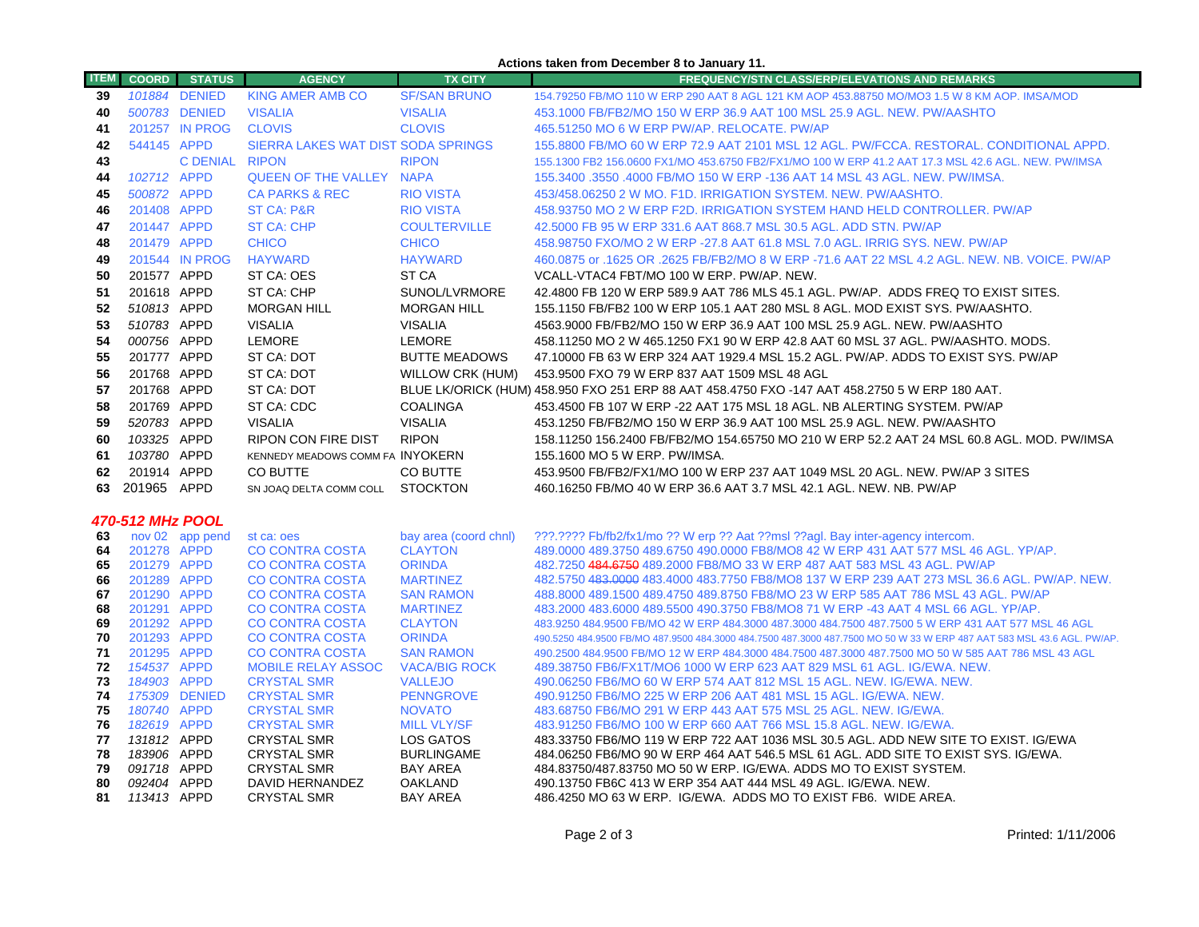#### **Actions taken from December 8 to January 11.**

| <b>ITEM</b> | <b>COORD</b>               | <b>STATUS</b>   | <b>AGENCY</b>                                    | <b>TX CITY</b>                      | <b>FREQUENCY/STN CLASS/ERP/ELEVATIONS AND REMARKS</b>                                                                                                                            |
|-------------|----------------------------|-----------------|--------------------------------------------------|-------------------------------------|----------------------------------------------------------------------------------------------------------------------------------------------------------------------------------|
| 39          |                            | 101884 DENIED   | <b>KING AMER AMB CO</b>                          | <b>SF/SAN BRUNO</b>                 | 154.79250 FB/MO 110 W ERP 290 AAT 8 AGL 121 KM AOP 453.88750 MO/MO3 1.5 W 8 KM AOP. IMSA/MOD                                                                                     |
| 40          |                            | 500783 DENIED   | <b>VISALIA</b>                                   | <b>VISALIA</b>                      | 453.1000 FB/FB2/MO 150 W ERP 36.9 AAT 100 MSL 25.9 AGL. NEW. PW/AASHTO                                                                                                           |
| 41          |                            | 201257 IN PROG  | <b>CLOVIS</b>                                    | <b>CLOVIS</b>                       | 465.51250 MO 6 W ERP PW/AP. RELOCATE. PW/AP                                                                                                                                      |
| 42          | 544145 APPD                |                 | SIERRA LAKES WAT DIST SODA SPRINGS               |                                     | 155.8800 FB/MO 60 W ERP 72.9 AAT 2101 MSL 12 AGL. PW/FCCA. RESTORAL. CONDITIONAL APPD.                                                                                           |
| 43          |                            | C DENIAL RIPON  |                                                  | <b>RIPON</b>                        | 155.1300 FB2 156.0600 FX1/MO 453.6750 FB2/FX1/MO 100 W ERP 41.2 AAT 17.3 MSL 42.6 AGL. NEW. PW/IMSA                                                                              |
| 44          | 102712 APPD                |                 | <b>QUEEN OF THE VALLEY NAPA</b>                  |                                     | 155.3400 .3550 .4000 FB/MO 150 W ERP -136 AAT 14 MSL 43 AGL. NEW. PW/IMSA.                                                                                                       |
| 45          | 500872 APPD                |                 | <b>CA PARKS &amp; REC</b>                        | <b>RIO VISTA</b>                    | 453/458.06250 2 W MO. F1D. IRRIGATION SYSTEM. NEW. PW/AASHTO.                                                                                                                    |
| 46          | 201408 APPD                |                 | <b>ST CA: P&amp;R</b>                            | <b>RIO VISTA</b>                    | 458.93750 MO 2 W ERP F2D. IRRIGATION SYSTEM HAND HELD CONTROLLER. PW/AP                                                                                                          |
| 47          | 201447 APPD                |                 | <b>ST CA: CHP</b>                                | <b>COULTERVILLE</b>                 | 42.5000 FB 95 W ERP 331.6 AAT 868.7 MSL 30.5 AGL. ADD STN. PW/AP                                                                                                                 |
| 48          | 201479 APPD                |                 | <b>CHICO</b>                                     | <b>CHICO</b>                        | 458,98750 FXO/MO 2 W ERP -27.8 AAT 61.8 MSL 7.0 AGL, IRRIG SYS, NEW, PW/AP                                                                                                       |
| 49          |                            | 201544 IN PROG  | <b>HAYWARD</b>                                   | <b>HAYWARD</b>                      | 460.0875 or .1625 OR .2625 FB/FB2/MO 8 W ERP -71.6 AAT 22 MSL 4.2 AGL. NEW. NB. VOICE. PW/AP                                                                                     |
| 50          | 201577 APPD                |                 | ST CA: OES                                       | ST <sub>CA</sub>                    | VCALL-VTAC4 FBT/MO 100 W ERP. PW/AP. NEW.                                                                                                                                        |
| 51          | 201618 APPD                |                 | ST CA: CHP                                       | SUNOL/LVRMORE                       | 42.4800 FB 120 W ERP 589.9 AAT 786 MLS 45.1 AGL. PW/AP. ADDS FREQ TO EXIST SITES.                                                                                                |
| 52          | 510813 APPD                |                 | <b>MORGAN HILL</b>                               | <b>MORGAN HILL</b>                  | 155.1150 FB/FB2 100 W ERP 105.1 AAT 280 MSL 8 AGL. MOD EXIST SYS. PW/AASHTO.                                                                                                     |
| 53          | 510783 APPD                |                 | <b>VISALIA</b>                                   | <b>VISALIA</b>                      | 4563.9000 FB/FB2/MO 150 W ERP 36.9 AAT 100 MSL 25.9 AGL. NEW. PW/AASHTO                                                                                                          |
| 54          | 000756 APPD                |                 | LEMORE                                           | <b>LEMORE</b>                       | 458.11250 MO 2 W 465.1250 FX1 90 W ERP 42.8 AAT 60 MSL 37 AGL. PW/AASHTO. MODS.                                                                                                  |
| 55          | 201777 APPD                |                 | ST CA: DOT                                       | <b>BUTTE MEADOWS</b>                | 47.10000 FB 63 W ERP 324 AAT 1929.4 MSL 15.2 AGL. PW/AP. ADDS TO EXIST SYS. PW/AP                                                                                                |
| 56          | 201768 APPD                |                 | ST CA: DOT                                       | WILLOW CRK (HUM)                    | 453.9500 FXO 79 W ERP 837 AAT 1509 MSL 48 AGL                                                                                                                                    |
| 57          | 201768 APPD                |                 | ST CA: DOT                                       |                                     | BLUE LK/ORICK (HUM) 458.950 FXO 251 ERP 88 AAT 458.4750 FXO -147 AAT 458.2750 5 W ERP 180 AAT.                                                                                   |
| 58          | 201769 APPD                |                 | ST CA: CDC                                       | <b>COALINGA</b>                     | 453.4500 FB 107 W ERP -22 AAT 175 MSL 18 AGL. NB ALERTING SYSTEM. PW/AP                                                                                                          |
| 59          | 520783 APPD                |                 | <b>VISALIA</b>                                   | <b>VISALIA</b>                      | 453.1250 FB/FB2/MO 150 W ERP 36.9 AAT 100 MSL 25.9 AGL. NEW. PW/AASHTO                                                                                                           |
| 60          | 103325 APPD                |                 | <b>RIPON CON FIRE DIST</b>                       | <b>RIPON</b>                        | 158.11250 156.2400 FB/FB2/MO 154.65750 MO 210 W ERP 52.2 AAT 24 MSL 60.8 AGL. MOD. PW/IMSA                                                                                       |
| 61          | 103780 APPD                |                 | KENNEDY MEADOWS COMM FA INYOKERN                 |                                     | 155.1600 MO 5 W ERP. PW/IMSA.                                                                                                                                                    |
| 62          | 201914 APPD                |                 | CO BUTTE                                         | CO BUTTE                            | 453.9500 FB/FB2/FX1/MO 100 W ERP 237 AAT 1049 MSL 20 AGL. NEW. PW/AP 3 SITES                                                                                                     |
| 63          | 201965 APPD                |                 | SN JOAQ DELTA COMM COLL STOCKTON                 |                                     | 460.16250 FB/MO 40 W ERP 36.6 AAT 3.7 MSL 42.1 AGL, NEW, NB, PW/AP                                                                                                               |
|             |                            |                 |                                                  |                                     |                                                                                                                                                                                  |
|             | 470-512 MHz POOL           |                 |                                                  |                                     |                                                                                                                                                                                  |
| 63          |                            | nov 02 app pend | st ca: oes                                       | bay area (coord chnl)               | ???.???? Fb/fb2/fx1/mo ?? W erp ?? Aat ??msl ??agl. Bay inter-agency intercom.                                                                                                   |
| 64          | 201278 APPD                |                 | <b>CO CONTRA COSTA</b>                           | <b>CLAYTON</b>                      | 489.0000 489.3750 489.6750 490.0000 FB8/MO8 42 W ERP 431 AAT 577 MSL 46 AGL. YP/AP.                                                                                              |
| 65          | 201279 APPD                |                 | <b>CO CONTRA COSTA</b>                           | <b>ORINDA</b>                       | 482.7250 484.6750 489.2000 FB8/MO 33 W ERP 487 AAT 583 MSL 43 AGL. PW/AP                                                                                                         |
| 66<br>67    | 201289 APPD<br>201290 APPD |                 | <b>CO CONTRA COSTA</b><br><b>CO CONTRA COSTA</b> | <b>MARTINEZ</b><br><b>SAN RAMON</b> | 482.5750 483.0000 483.4000 483.7750 FB8/MO8 137 W ERP 239 AAT 273 MSL 36.6 AGL. PW/AP. NEW.<br>488.8000 489.1500 489.4750 489.8750 FB8/MO 23 W ERP 585 AAT 786 MSL 43 AGL. PW/AP |
| 68          | 201291 APPD                |                 | <b>CO CONTRA COSTA</b>                           | <b>MARTINEZ</b>                     | 483.2000 483.6000 489.5500 490.3750 FB8/MO8 71 W ERP -43 AAT 4 MSL 66 AGL. YP/AP.                                                                                                |
| 69          | 201292 APPD                |                 | <b>CO CONTRA COSTA</b>                           | <b>CLAYTON</b>                      | 483.9250 484.9500 FB/MO 42 W ERP 484.3000 487.3000 484.7500 487.7500 5 W ERP 431 AAT 577 MSL 46 AGL                                                                              |
| 70          | 201293 APPD                |                 | <b>CO CONTRA COSTA</b>                           | <b>ORINDA</b>                       | 490.5250 484.9500 FB/MO 487.9500 484.3000 484.7500 487.3000 487.7500 MO 50 W 33 W ERP 487 AAT 583 MSL 43.6 AGL. PW/AP.                                                           |
| 71          | 201295 APPD                |                 | <b>CO CONTRA COSTA</b>                           | <b>SAN RAMON</b>                    | 490.2500 484.9500 FB/MO 12 W ERP 484.3000 484.7500 487.3000 487.7500 MO 50 W 585 AAT 786 MSL 43 AGL                                                                              |
| 72          | 154537 APPD                |                 | <b>MOBILE RELAY ASSOC</b>                        | <b>VACA/BIG ROCK</b>                | 489.38750 FB6/FX1T/MO6 1000 W ERP 623 AAT 829 MSL 61 AGL, IG/EWA, NEW.                                                                                                           |
| 73          | 184903 APPD                |                 | <b>CRYSTAL SMR</b>                               | <b>VALLEJO</b>                      | 490.06250 FB6/MO 60 W ERP 574 AAT 812 MSL 15 AGL, NEW, IG/EWA, NEW.                                                                                                              |
| 74          |                            | 175309 DENIED   | <b>CRYSTAL SMR</b>                               | <b>PENNGROVE</b>                    | 490.91250 FB6/MO 225 W ERP 206 AAT 481 MSL 15 AGL. IG/EWA. NEW.                                                                                                                  |
| 75<br>76    | 180740 APPD<br>182619 APPD |                 | <b>CRYSTAL SMR</b><br><b>CRYSTAL SMR</b>         | <b>NOVATO</b><br><b>MILL VLY/SF</b> | 483.68750 FB6/MO 291 W ERP 443 AAT 575 MSL 25 AGL. NEW. IG/EWA.<br>483.91250 FB6/MO 100 W ERP 660 AAT 766 MSL 15.8 AGL. NEW. IG/EWA.                                             |
| 77          | 131812 APPD                |                 | <b>CRYSTAL SMR</b>                               | LOS GATOS                           | 483.33750 FB6/MO 119 W ERP 722 AAT 1036 MSL 30.5 AGL. ADD NEW SITE TO EXIST. IG/EWA                                                                                              |
| 78          | 183906 APPD                |                 | <b>CRYSTAL SMR</b>                               | <b>BURLINGAME</b>                   | 484.06250 FB6/MO 90 W ERP 464 AAT 546.5 MSL 61 AGL. ADD SITE TO EXIST SYS. IG/EWA.                                                                                               |
| 79          | 091718 APPD                |                 | <b>CRYSTAL SMR</b>                               | <b>BAY AREA</b>                     | 484.83750/487.83750 MO 50 W ERP. IG/EWA. ADDS MO TO EXIST SYSTEM.                                                                                                                |
| 80          | 092404 APPD                |                 | DAVID HERNANDEZ                                  | <b>OAKLAND</b>                      | 490.13750 FB6C 413 W ERP 354 AAT 444 MSL 49 AGL. IG/EWA. NEW.                                                                                                                    |
| 81          | 113413 APPD                |                 | <b>CRYSTAL SMR</b>                               | <b>BAY AREA</b>                     | 486.4250 MO 63 W ERP. IG/EWA. ADDS MO TO EXIST FB6. WIDE AREA.                                                                                                                   |